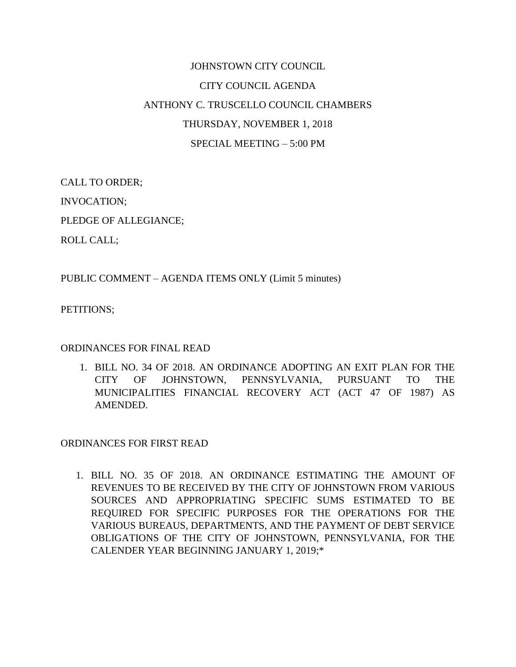## JOHNSTOWN CITY COUNCIL CITY COUNCIL AGENDA ANTHONY C. TRUSCELLO COUNCIL CHAMBERS THURSDAY, NOVEMBER 1, 2018 SPECIAL MEETING – 5:00 PM

CALL TO ORDER; INVOCATION;

PLEDGE OF ALLEGIANCE;

ROLL CALL;

PUBLIC COMMENT – AGENDA ITEMS ONLY (Limit 5 minutes)

PETITIONS;

## ORDINANCES FOR FINAL READ

1. BILL NO. 34 OF 2018. AN ORDINANCE ADOPTING AN EXIT PLAN FOR THE CITY OF JOHNSTOWN, PENNSYLVANIA, PURSUANT TO THE MUNICIPALITIES FINANCIAL RECOVERY ACT (ACT 47 OF 1987) AS AMENDED.

## ORDINANCES FOR FIRST READ

1. BILL NO. 35 OF 2018. AN ORDINANCE ESTIMATING THE AMOUNT OF REVENUES TO BE RECEIVED BY THE CITY OF JOHNSTOWN FROM VARIOUS SOURCES AND APPROPRIATING SPECIFIC SUMS ESTIMATED TO BE REQUIRED FOR SPECIFIC PURPOSES FOR THE OPERATIONS FOR THE VARIOUS BUREAUS, DEPARTMENTS, AND THE PAYMENT OF DEBT SERVICE OBLIGATIONS OF THE CITY OF JOHNSTOWN, PENNSYLVANIA, FOR THE CALENDER YEAR BEGINNING JANUARY 1, 2019;\*